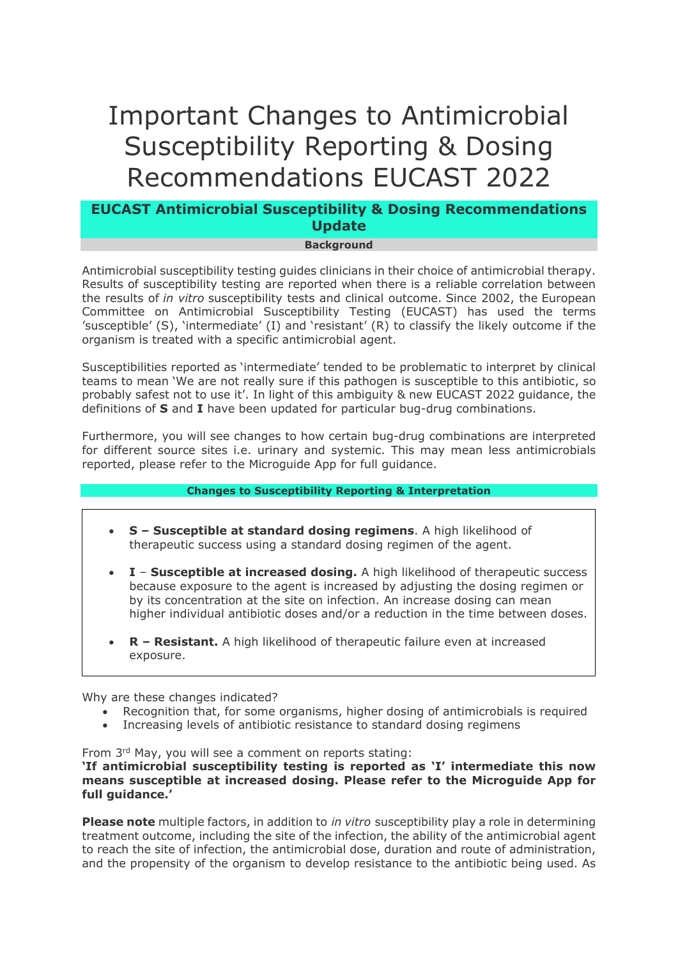# Important Changes to Antimicrobial Susceptibility Reporting & Dosing Recommendations EUCAST 2022

## **EUCAST Antimicrobial Susceptibility & Dosing Recommendations Update**

#### **Background**

Antimicrobial susceptibility testing guides clinicians in their choice of antimicrobial therapy. Results of susceptibility testing are reported when there is a reliable correlation between the results of *in vitro* susceptibility tests and clinical outcome. Since 2002, the European Committee on Antimicrobial Susceptibility Testing (EUCAST) has used the terms 'susceptible' (S), 'intermediate' (I) and 'resistant' (R) to classify the likely outcome if the organism is treated with a specific antimicrobial agent.

Susceptibilities reported as 'intermediate' tended to be problematic to interpret by clinical teams to mean 'We are not really sure if this pathogen is susceptible to this antibiotic, so probably safest not to use it'. In light of this ambiguity & new EUCAST 2022 guidance, the definitions of **S** and **I** have been updated for particular bug-drug combinations.

Furthermore, you will see changes to how certain bug-drug combinations are interpreted for different source sites i.e. urinary and systemic. This may mean less antimicrobials reported, please refer to the Microguide App for full guidance.

### **Changes to Susceptibility Reporting & Interpretation**

- **S Susceptible at standard dosing regimens**. A high likelihood of therapeutic success using a standard dosing regimen of the agent.
- **I Susceptible at increased dosing.** A high likelihood of therapeutic success because exposure to the agent is increased by adjusting the dosing regimen or by its concentration at the site on infection. An increase dosing can mean higher individual antibiotic doses and/or a reduction in the time between doses.
- **R Resistant.** A high likelihood of therapeutic failure even at increased exposure.

Why are these changes indicated?

- Recognition that, for some organisms, higher dosing of antimicrobials is required
- Increasing levels of antibiotic resistance to standard dosing regimens

From 3rd May, you will see a comment on reports stating:

**'If antimicrobial susceptibility testing is reported as 'I' intermediate this now means susceptible at increased dosing. Please refer to the Microguide App for full guidance.'**

**Please note** multiple factors, in addition to *in vitro* susceptibility play a role in determining treatment outcome, including the site of the infection, the ability of the antimicrobial agent to reach the site of infection, the antimicrobial dose, duration and route of administration, and the propensity of the organism to develop resistance to the antibiotic being used. As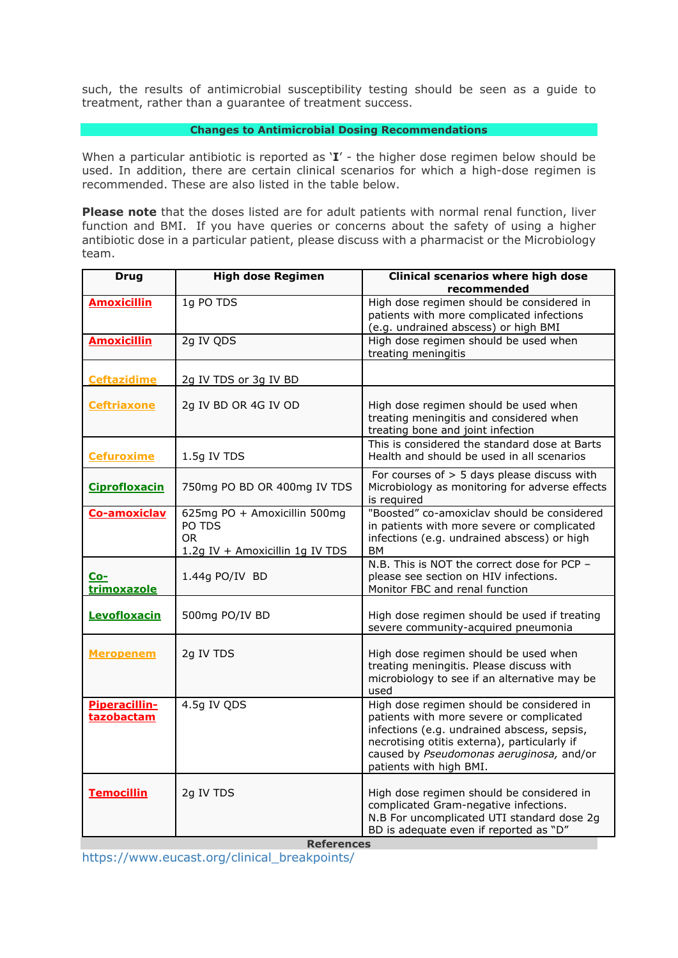such, the results of antimicrobial susceptibility testing should be seen as a guide to treatment, rather than a guarantee of treatment success.

#### **Changes to Antimicrobial Dosing Recommendations**

When a particular antibiotic is reported as '**I**' - the higher dose regimen below should be used. In addition, there are certain clinical scenarios for which a high-dose regimen is recommended. These are also listed in the table below.

**Please note** that the doses listed are for adult patients with normal renal function, liver function and BMI. If you have queries or concerns about the safety of using a higher antibiotic dose in a particular patient, please discuss with a pharmacist or the Microbiology team.

| <b>Drug</b>                        | <b>High dose Regimen</b>                                                         | Clinical scenarios where high dose<br>recommended                                                                                                                                                                                                           |
|------------------------------------|----------------------------------------------------------------------------------|-------------------------------------------------------------------------------------------------------------------------------------------------------------------------------------------------------------------------------------------------------------|
| <b>Amoxicillin</b>                 | 1g PO TDS                                                                        | High dose regimen should be considered in<br>patients with more complicated infections<br>(e.g. undrained abscess) or high BMI                                                                                                                              |
| <b>Amoxicillin</b>                 | 2g IV QDS                                                                        | High dose regimen should be used when<br>treating meningitis                                                                                                                                                                                                |
| <b>Ceftazidime</b>                 | 2g IV TDS or 3g IV BD                                                            |                                                                                                                                                                                                                                                             |
| <b>Ceftriaxone</b>                 | 2g IV BD OR 4G IV OD                                                             | High dose regimen should be used when<br>treating meningitis and considered when<br>treating bone and joint infection                                                                                                                                       |
| <b>Cefuroxime</b>                  | 1.5g IV TDS                                                                      | This is considered the standard dose at Barts<br>Health and should be used in all scenarios                                                                                                                                                                 |
| <b>Ciprofloxacin</b>               | 750mg PO BD OR 400mg IV TDS                                                      | For courses of $> 5$ days please discuss with<br>Microbiology as monitoring for adverse effects<br>is required                                                                                                                                              |
| Co-amoxiclav                       | 625mg PO + Amoxicillin 500mg<br>PO TDS<br>OR.<br>1.2g IV + Amoxicillin 1g IV TDS | "Boosted" co-amoxiclav should be considered<br>in patients with more severe or complicated<br>infections (e.g. undrained abscess) or high<br><b>BM</b>                                                                                                      |
| <u>Co-</u><br>trimoxazole          | 1.44g PO/IV BD                                                                   | N.B. This is NOT the correct dose for PCP -<br>please see section on HIV infections.<br>Monitor FBC and renal function                                                                                                                                      |
| Levofloxacin                       | 500mg PO/IV BD                                                                   | High dose regimen should be used if treating<br>severe community-acquired pneumonia                                                                                                                                                                         |
| <b>Meropenem</b>                   | 2g IV TDS                                                                        | High dose regimen should be used when<br>treating meningitis. Please discuss with<br>microbiology to see if an alternative may be<br>used                                                                                                                   |
| <b>Piperacillin-</b><br>tazobactam | 4.5g IV QDS                                                                      | High dose regimen should be considered in<br>patients with more severe or complicated<br>infections (e.g. undrained abscess, sepsis,<br>necrotising otitis externa), particularly if<br>caused by Pseudomonas aeruginosa, and/or<br>patients with high BMI. |
| <b>Temocillin</b>                  | 2g IV TDS                                                                        | High dose regimen should be considered in<br>complicated Gram-negative infections.<br>N.B For uncomplicated UTI standard dose 2g<br>BD is adequate even if reported as "D"                                                                                  |
| <b>References</b>                  |                                                                                  |                                                                                                                                                                                                                                                             |

https://www.eucast.org/clinical\_breakpoints/